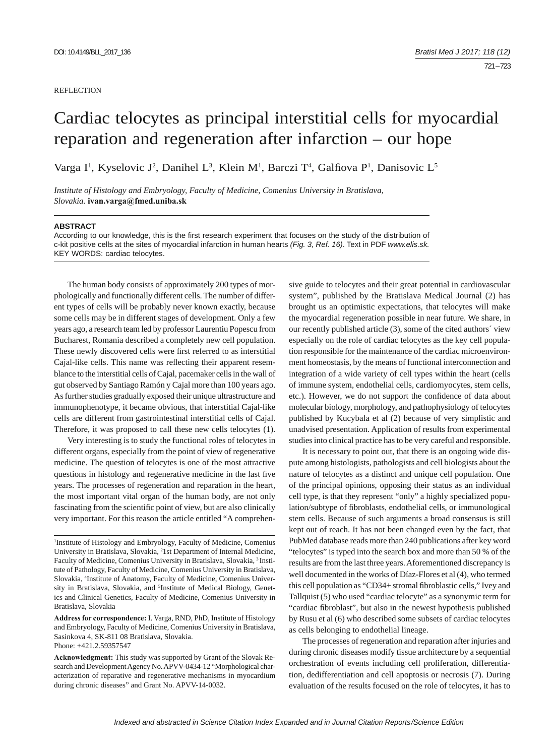## **REFLECTION**

## Cardiac telocytes as principal interstitial cells for myocardial reparation and regeneration after infarction – our hope

Varga I<sup>1</sup>, Kyselovic J<sup>2</sup>, Danihel L<sup>3</sup>, Klein M<sup>1</sup>, Barczi T<sup>4</sup>, Galfiova P<sup>1</sup>, Danisovic L<sup>5</sup>

*Institute of Histology and Embryology, Faculty of Medicine, Comenius University in Bratislava, Slovakia.* **ivan.varga@fmed.uniba.sk**

## **ABSTRACT**

According to our knowledge, this is the first research experiment that focuses on the study of the distribution of c-kit positive cells at the sites of myocardial infarction in human hearts *(Fig. 3, Ref. 16)*. Text in PDF *www.elis.sk.* KEY WORDS: cardiac telocytes.

The human body consists of approximately 200 types of morphologically and functionally different cells. The number of different types of cells will be probably never known exactly, because some cells may be in different stages of development. Only a few years ago, a research team led by professor Laurentiu Popescu from Bucharest, Romania described a completely new cell population. These newly discovered cells were first referred to as interstitial Cajal-like cells. This name was reflecting their apparent resemblance to the interstitial cells of Cajal, pacemaker cells in the wall of gut observed by Santiago Ramón y Cajal more than 100 years ago. As further studies gradually exposed their unique ultrastructure and immunophenotype, it became obvious, that interstitial Cajal-like cells are different from gastrointestinal interstitial cells of Cajal. Therefore, it was proposed to call these new cells telocytes (1).

Very interesting is to study the functional roles of telocytes in different organs, especially from the point of view of regenerative medicine. The question of telocytes is one of the most attractive questions in histology and regenerative medicine in the last five years. The processes of regeneration and reparation in the heart, the most important vital organ of the human body, are not only fascinating from the scientific point of view, but are also clinically very important. For this reason the article entitled "A comprehen-

**Address for correspondence:** I. Varga, RND, PhD, Institute of Histology and Embryology, Faculty of Medicine, Comenius University in Bratislava, Sasinkova 4, SK-811 08 Bratislava, Slovakia. Phone: +421.2.59357547

sive guide to telocytes and their great potential in cardiovascular system", published by the Bratislava Medical Journal (2) has brought us an optimistic expectations, that telocytes will make the myocardial regeneration possible in near future. We share, in our recently published article (3), some of the cited authors´ view especially on the role of cardiac telocytes as the key cell population responsible for the maintenance of the cardiac microenvironment homeostasis, by the means of functional interconnection and integration of a wide variety of cell types within the heart (cells of immune system, endothelial cells, cardiomyocytes, stem cells, etc.). However, we do not support the confidence of data about molecular biology, morphology, and pathophysiology of telocytes published by Kucybala et al (2) because of very simplistic and unadvised presentation. Application of results from experimental studies into clinical practice has to be very careful and responsible.

It is necessary to point out, that there is an ongoing wide dispute among histologists, pathologists and cell biologists about the nature of telocytes as a distinct and unique cell population. One of the principal opinions, opposing their status as an individual cell type, is that they represent "only" a highly specialized population/subtype of fibroblasts, endothelial cells, or immunological stem cells. Because of such arguments a broad consensus is still kept out of reach. It has not been changed even by the fact, that PubMed database reads more than 240 publications after key word "telocytes" is typed into the search box and more than 50 % of the results are from the last three years. Aforementioned discrepancy is well documented in the works of Díaz-Flores et al (4), who termed this cell population as "CD34+ stromal fibroblastic cells," Ivey and Tallquist (5) who used "cardiac telocyte" as a synonymic term for "cardiac fibroblast", but also in the newest hypothesis published by Rusu et al (6) who described some subsets of cardiac telocytes as cells belonging to endothelial lineage.

The processes of regeneration and reparation after injuries and during chronic diseases modify tissue architecture by a sequential orchestration of events including cell proliferation, differentiation, dedifferentiation and cell apoptosis or necrosis (7). During evaluation of the results focused on the role of telocytes, it has to

<sup>1</sup> Institute of Histology and Embryology, Faculty of Medicine, Comenius University in Bratislava, Slovakia, <sup>2</sup>1st Department of Internal Medicine, Faculty of Medicine, Comenius University in Bratislava, Slovakia, 3 Institute of Pathology, Faculty of Medicine, Comenius University in Bratislava, Slovakia, 4 Institute of Anatomy, Faculty of Medicine, Comenius University in Bratislava, Slovakia, and <sup>5</sup>Institute of Medical Biology, Genetics and Clinical Genetics, Faculty of Medicine, Comenius University in Bratislava, Slovakia

**Acknowledgment:** This study was supported by Grant of the Slovak Research and Development Agency No. APVV-0434-12 "Morphological characterization of reparative and regenerative mechanisms in myocardium during chronic diseases" and Grant No. APVV-14-0032.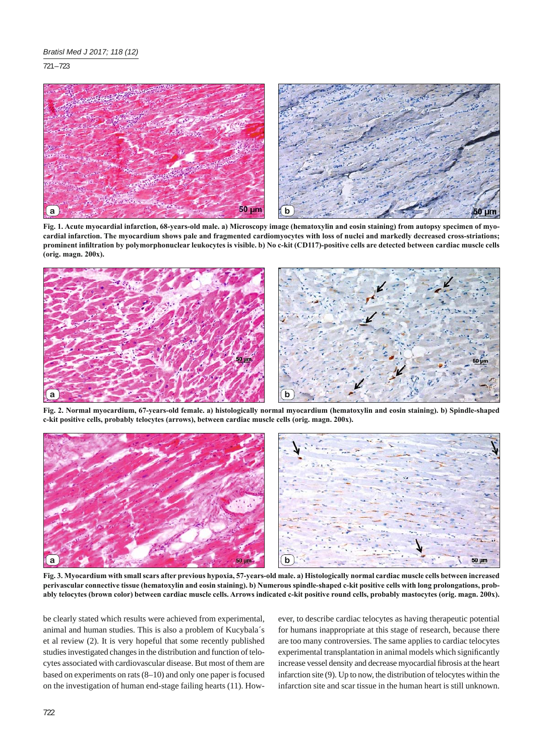721 – 723



**Fig. 1. Acute myocardial infarction, 68-years-old male. a) Microscopy image (hematoxylin and eosin staining) from autopsy specimen of myocardial infarction. The myocardium shows pale and fragmented cardiomyocytes with loss of nuclei and markedly decreased cross-striations;**  prominent infiltration by polymorphonuclear leukocytes is visible. b) No c-kit (CD117)-positive cells are detected between cardiac muscle cells **(orig. magn. 200x).**



**Fig. 2. Normal myocardium, 67-years-old female. a) histologically normal myocardium (hematoxylin and eosin staining). b) Spindle-shaped c-kit positive cells, probably telocytes (arrows), between cardiac muscle cells (orig. magn. 200x).**



**Fig. 3. Myocardium with small scars after previous hypoxia, 57-years-old male. a) Histologically normal cardiac muscle cells between increased perivascular connective tissue (hematoxylin and eosin staining). b) Numerous spindle-shaped c-kit positive cells with long prolongations, probably telocytes (brown color) between cardiac muscle cells. Arrows indicated c-kit positive round cells, probably mastocytes (orig. magn. 200x).**

be clearly stated which results were achieved from experimental, animal and human studies. This is also a problem of Kucybala´s et al review (2). It is very hopeful that some recently published studies investigated changes in the distribution and function of telocytes associated with cardiovascular disease. But most of them are based on experiments on rats (8–10) and only one paper is focused on the investigation of human end-stage failing hearts (11). However, to describe cardiac telocytes as having therapeutic potential for humans inappropriate at this stage of research, because there are too many controversies. The same applies to cardiac telocytes experimental transplantation in animal models which significantly increase vessel density and decrease myocardial fibrosis at the heart infarction site (9). Up to now, the distribution of telocytes within the infarction site and scar tissue in the human heart is still unknown.